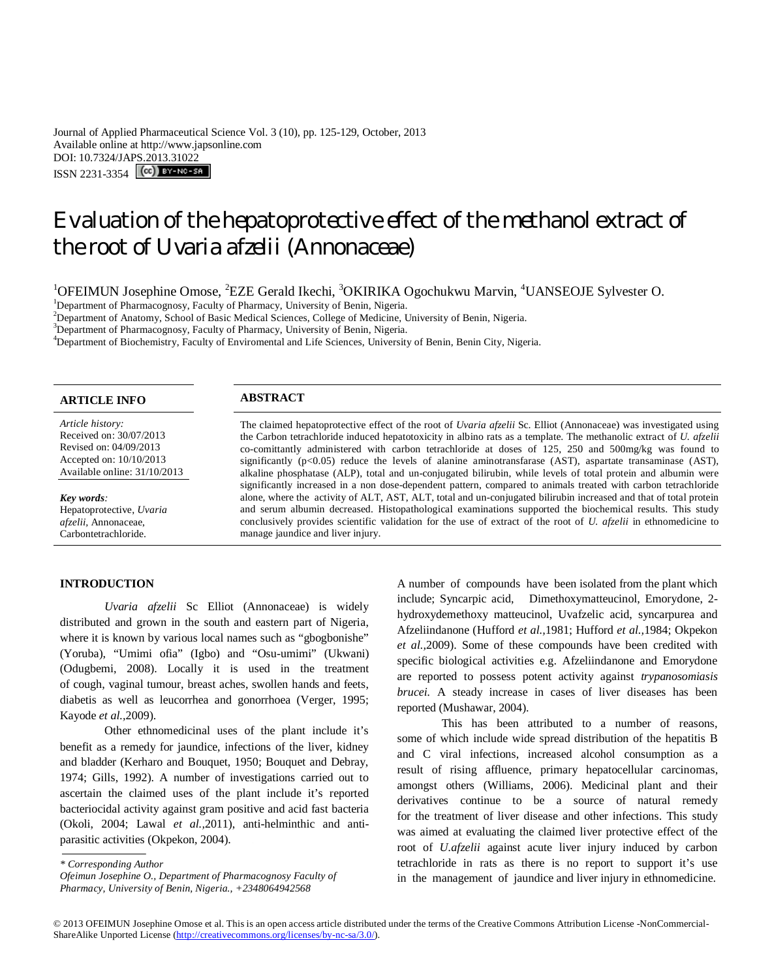Journal of Applied Pharmaceutical Science Vol. 3 (10), pp. 125-129, October, 2013 Available online at http://www.japsonline.com DOI: 10.7324/JAPS.2013.31022  $ISSN 2231-3354$   $\left[\left(\text{cc}\right)\right]$  BY-NC-SA

# Evaluation of the hepatoprotective effect of the methanol extract of the root of *Uvaria afzelii* (Annonaceae)

 $1$ OFEIMUN Josephine Omose, <sup>2</sup>EZE Gerald Ikechi,  $3$ OKIRIKA Ogochukwu Marvin,  $4$ UANSEOJE Sylvester O.

<sup>1</sup>Department of Pharmacognosy, Faculty of Pharmacy, University of Benin, Nigeria.

<sup>2</sup>Department of Anatomy, School of Basic Medical Sciences, College of Medicine, University of Benin, Nigeria.

<sup>3</sup>Department of Pharmacognosy, Faculty of Pharmacy, University of Benin, Nigeria.

<sup>4</sup>Department of Biochemistry, Faculty of Enviromental and Life Sciences, University of Benin, Benin City, Nigeria.

| <b>ARTICLE INFO</b>                                                                                                              | <b>ABSTRACT</b>                                                                                                                                                                                                                                                                                                                                                                                                                                                                                                                                                                       |
|----------------------------------------------------------------------------------------------------------------------------------|---------------------------------------------------------------------------------------------------------------------------------------------------------------------------------------------------------------------------------------------------------------------------------------------------------------------------------------------------------------------------------------------------------------------------------------------------------------------------------------------------------------------------------------------------------------------------------------|
| Article history:<br>Received on: 30/07/2013<br>Revised on: 04/09/2013<br>Accepted on: 10/10/2013<br>Available online: 31/10/2013 | The claimed hepatoprotective effect of the root of <i>Uvaria afzelii</i> Sc. Elliot (Annonaceae) was investigated using<br>the Carbon tetrachloride induced hepatotoxicity in albino rats as a template. The methanolic extract of U. afzelii<br>co-comittantly administered with carbon tetrachloride at doses of 125, 250 and 500mg/kg was found to<br>significantly $(p<0.05)$ reduce the levels of alanine aminotransfarase (AST), aspartate transaminase (AST),<br>alkaline phosphatase (ALP), total and un-conjugated bilirubin, while levels of total protein and albumin were |
| Key words:<br>Hepatoprotective, Uvaria<br><i>afzelii</i> , Annonaceae,<br>Carbontetrachloride.                                   | significantly increased in a non dose-dependent pattern, compared to animals treated with carbon tetrachloride<br>alone, where the activity of ALT, AST, ALT, total and un-conjugated bilirubin increased and that of total protein<br>and serum albumin decreased. Histopathological examinations supported the biochemical results. This study<br>conclusively provides scientific validation for the use of extract of the root of U. afzelii in ethnomedicine to<br>manage jaundice and liver injury.                                                                             |

# **INTRODUCTION**

*Uvaria afzelii* Sc Elliot (Annonaceae) is widely distributed and grown in the south and eastern part of Nigeria, where it is known by various local names such as "gbogbonishe" (Yoruba), "Umimi ofia" (Igbo) and "Osu-umimi" (Ukwani) (Odugbemi, 2008). Locally it is used in the treatment of cough, vaginal tumour, breast aches, swollen hands and feets, diabetis as well as leucorrhea and gonorrhoea (Verger, 1995; Kayode *et al.,*2009).

Other ethnomedicinal uses of the plant include it's benefit as a remedy for jaundice, infections of the liver, kidney and bladder (Kerharo and Bouquet, 1950; Bouquet and Debray, 1974; Gills, 1992). A number of investigations carried out to ascertain the claimed uses of the plant include it's reported bacteriocidal activity against gram positive and acid fast bacteria (Okoli, 2004; Lawal *et al.,*2011), anti-helminthic and antiparasitic activities (Okpekon, 2004). .

This has been attributed to a number of reasons, some of which include wide spread distribution of the hepatitis B and C viral infections, increased alcohol consumption as a result of rising affluence, primary hepatocellular carcinomas, amongst others (Williams, 2006). Medicinal plant and their derivatives continue to be a source of natural remedy for the treatment of liver disease and other infections. This study was aimed at evaluating the claimed liver protective effect of the root of *U.afzelii* against acute liver injury induced by carbon tetrachloride in rats as there is no report to support it's use in the management of jaundice and liver injury in ethnomedicine.

A number of compounds have been isolated from the plant which include; Syncarpic acid, Dimethoxymatteucinol, Emorydone, 2 hydroxydemethoxy matteucinol, Uvafzelic acid, syncarpurea and Afzeliindanone (Hufford *et al.,*1981; Hufford *et al.,*1984; Okpekon *et al.,*2009). Some of these compounds have been credited with specific biological activities e.g. Afzeliindanone and Emorydone are reported to possess potent activity against *trypanosomiasis brucei.* A steady increase in cases of liver diseases has been reported (Mushawar, 2004).

*<sup>\*</sup> Corresponding Author*

*Ofeimun Josephine O., Department of Pharmacognosy Faculty of Pharmacy, University of Benin, Nigeria., +2348064942568*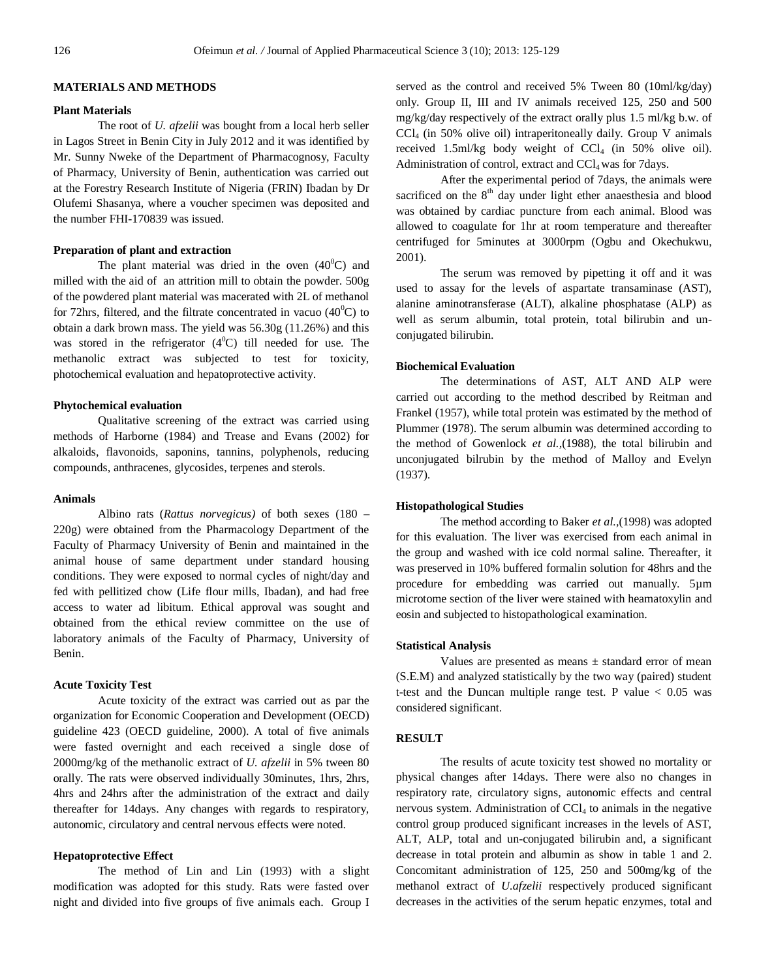# **MATERIALS AND METHODS**

## **Plant Materials**

The root of *U. afzelii* was bought from a local herb seller in Lagos Street in Benin City in July 2012 and it was identified by Mr. Sunny Nweke of the Department of Pharmacognosy, Faculty of Pharmacy, University of Benin, authentication was carried out at the Forestry Research Institute of Nigeria (FRIN) Ibadan by Dr Olufemi Shasanya, where a voucher specimen was deposited and the number FHI-170839 was issued.

# **Preparation of plant and extraction**

The plant material was dried in the oven  $(40^{\circ}C)$  and milled with the aid of an attrition mill to obtain the powder. 500g of the powdered plant material was macerated with 2L of methanol for 72hrs, filtered, and the filtrate concentrated in vacuo  $(40^{\circ}C)$  to obtain a dark brown mass. The yield was 56.30g (11.26%) and this was stored in the refrigerator  $(4^{\circ}C)$  till needed for use. The methanolic extract was subjected to test for toxicity, photochemical evaluation and hepatoprotective activity.

# **Phytochemical evaluation**

Qualitative screening of the extract was carried using methods of Harborne (1984) and Trease and Evans (2002) for alkaloids, flavonoids, saponins, tannins, polyphenols, reducing compounds, anthracenes, glycosides, terpenes and sterols.

# **Animals**

Albino rats (*Rattus norvegicus)* of both sexes (180 – 220g) were obtained from the Pharmacology Department of the Faculty of Pharmacy University of Benin and maintained in the animal house of same department under standard housing conditions. They were exposed to normal cycles of night/day and fed with pellitized chow (Life flour mills, Ibadan), and had free access to water ad libitum. Ethical approval was sought and obtained from the ethical review committee on the use of laboratory animals of the Faculty of Pharmacy, University of Benin.

# **Acute Toxicity Test**

Acute toxicity of the extract was carried out as par the organization for Economic Cooperation and Development (OECD) guideline 423 (OECD guideline, 2000). A total of five animals were fasted overnight and each received a single dose of 2000mg/kg of the methanolic extract of *U. afzelii* in 5% tween 80 orally. The rats were observed individually 30minutes, 1hrs, 2hrs, 4hrs and 24hrs after the administration of the extract and daily thereafter for 14days. Any changes with regards to respiratory, autonomic, circulatory and central nervous effects were noted.

# **Hepatoprotective Effect**

The method of Lin and Lin (1993) with a slight modification was adopted for this study. Rats were fasted over night and divided into five groups of five animals each. Group I

served as the control and received 5% Tween 80 (10ml/kg/day) only. Group II, III and IV animals received 125, 250 and 500 mg/kg/day respectively of the extract orally plus 1.5 ml/kg b.w. of CCl<sup>4</sup> (in 50% olive oil) intraperitoneally daily. Group V animals received 1.5ml/kg body weight of  $CCl<sub>4</sub>$  (in 50% olive oil). Administration of control, extract and  $CCl<sub>4</sub>$  was for 7days.

After the experimental period of 7days, the animals were sacrificed on the 8<sup>th</sup> day under light ether anaesthesia and blood was obtained by cardiac puncture from each animal. Blood was allowed to coagulate for 1hr at room temperature and thereafter centrifuged for 5minutes at 3000rpm (Ogbu and Okechukwu, 2001).

The serum was removed by pipetting it off and it was used to assay for the levels of aspartate transaminase (AST), alanine aminotransferase (ALT), alkaline phosphatase (ALP) as well as serum albumin, total protein, total bilirubin and unconjugated bilirubin.

# **Biochemical Evaluation**

The determinations of AST, ALT AND ALP were carried out according to the method described by Reitman and Frankel (1957), while total protein was estimated by the method of Plummer (1978). The serum albumin was determined according to the method of Gowenlock *et al.,*(1988), the total bilirubin and unconjugated bilrubin by the method of Malloy and Evelyn (1937).

# **Histopathological Studies**

The method according to Baker *et al.,*(1998) was adopted for this evaluation. The liver was exercised from each animal in the group and washed with ice cold normal saline. Thereafter, it was preserved in 10% buffered formalin solution for 48hrs and the procedure for embedding was carried out manually. 5µm microtome section of the liver were stained with heamatoxylin and eosin and subjected to histopathological examination.

### **Statistical Analysis**

Values are presented as means  $\pm$  standard error of mean (S.E.M) and analyzed statistically by the two way (paired) student t-test and the Duncan multiple range test. P value  $< 0.05$  was considered significant.

### **RESULT**

The results of acute toxicity test showed no mortality or physical changes after 14days. There were also no changes in respiratory rate, circulatory signs, autonomic effects and central nervous system. Administration of  $CCl<sub>4</sub>$  to animals in the negative control group produced significant increases in the levels of AST, ALT, ALP, total and un-conjugated bilirubin and, a significant decrease in total protein and albumin as show in table 1 and 2. Concomitant administration of 125, 250 and 500mg/kg of the methanol extract of *U.afzelii* respectively produced significant decreases in the activities of the serum hepatic enzymes, total and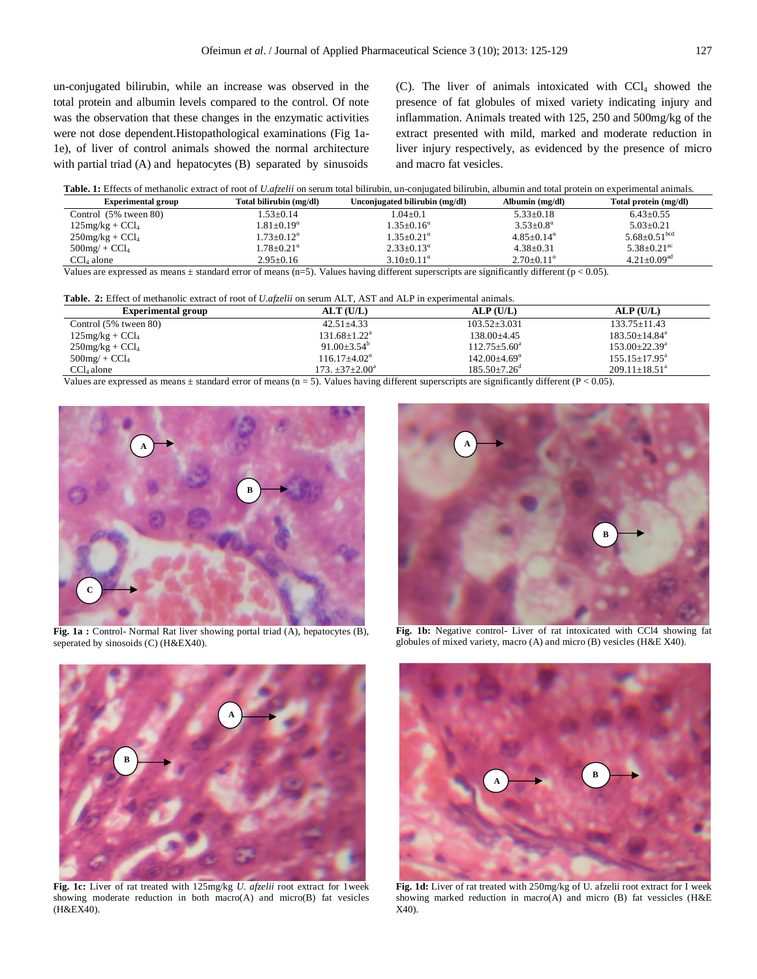un-conjugated bilirubin, while an increase was observed in the total protein and albumin levels compared to the control. Of note was the observation that these changes in the enzymatic activities were not dose dependent.Histopathological examinations (Fig 1a-1e), of liver of control animals showed the normal architecture with partial triad (A) and hepatocytes (B) separated by sinusoids

(C). The liver of animals intoxicated with  $CCl<sub>4</sub>$  showed the presence of fat globules of mixed variety indicating injury and inflammation. Animals treated with 125, 250 and 500mg/kg of the extract presented with mild, marked and moderate reduction in liver injury respectively, as evidenced by the presence of micro and macro fat vesicles.

| Table. 1: Effects of methanolic extract of root of U.afzelii on serum total bilirubin, un-conjugated bilirubin, albumin and total protein on experimental animals |  |  |
|-------------------------------------------------------------------------------------------------------------------------------------------------------------------|--|--|
|-------------------------------------------------------------------------------------------------------------------------------------------------------------------|--|--|

| <b>Experimental group</b> | Total bilirubin (mg/dl)  | Unconjugated bilirubin (mg/dl) | Albumin (mg/dl)        | Total protein (mg/dl)          |
|---------------------------|--------------------------|--------------------------------|------------------------|--------------------------------|
| Control (5% tween 80)     | $1.53 \pm 0.14$          | $1.04\pm0.1$                   | $5.33 \pm 0.18$        | $6.43 \pm 0.55$                |
| $125mg/kg + CCl4$         | $1.81 \pm 0.19^{\alpha}$ | $1.35 \pm 0.16^{\alpha}$       | $3.53 \pm 0.8^{\circ}$ | $5.03 \pm 0.21$                |
| $250$ mg/kg + $CCl4$      | $1.73 \pm 0.12^{\alpha}$ | $1.35 \pm 0.21^{\alpha}$       | $4.85+0.14^{\alpha}$   | $5.68 \pm 0.51$ <sup>bcd</sup> |
| $500$ mg/ + $CCl_4$       | $1.78 \pm 0.21^\alpha$   | $2.33 \pm 0.13^{\alpha}$       | $4.38 \pm 0.31$        | $5.38 + 0.21$ <sup>ac</sup>    |
| $CCL_4$ alone             | $2.95 \pm 0.16$          | $3.10+0.11^{\alpha}$           | $2.70+0.11^{\alpha}$   | $4.21 \pm 0.09$ <sup>ad</sup>  |
| $\cdots$                  | $\cdots$                 | $\cdots$                       | $\cdots$<br>$\cdot$    | $\sim$ $\sim$ $\sim$           |

Values are expressed as means  $\pm$  standard error of means (n=5). Values having different superscripts are significantly different (p < 0.05).

| <b>Table. 2:</b> Effect of methanolic extract of root of <i>U.afzelii</i> on serum ALT, AST and ALP in experimental animals. |                                |                              |                                 |  |  |  |
|------------------------------------------------------------------------------------------------------------------------------|--------------------------------|------------------------------|---------------------------------|--|--|--|
| <b>Experimental group</b>                                                                                                    | ALT(U/L)                       | ALP(U/L)                     | ALP(U/L)                        |  |  |  |
| Control $(5\%$ tween 80)                                                                                                     | $42.51 \pm 4.33$               | $103.52 \pm 3.031$           | $133.75 \pm 11.43$              |  |  |  |
| $125mg/kg + CCl4$                                                                                                            | $131.68 + 1.22^a$              | $138.00\pm4.45$              | $183.50 \pm 14.84^a$            |  |  |  |
| $250$ mg/kg + $CCl4$                                                                                                         | 91.00 $\pm$ 3.54 <sup>b</sup>  | $112.75 \pm 5.60^{\circ}$    | $153.00 \pm 22.39^{\mathrm{a}}$ |  |  |  |
| $500$ mg/ + $CCl4$                                                                                                           | $116.17 \pm 4.02^{\alpha}$     | $142.00 \pm 4.69^{\circ}$    | $155.15 \pm 17.95^{\text{a}}$   |  |  |  |
| $CCL_4$ alone                                                                                                                | 173. $\pm 37 \pm 2.00^{\circ}$ | $185.50 + 7.26$ <sup>d</sup> | $209.11 \pm 18.51^a$            |  |  |  |

Values are expressed as means  $\pm$  standard error of means (n = 5). Values having different superscripts are significantly different (P < 0.05).



**Fig. 1a :** Control- Normal Rat liver showing portal triad (A), hepatocytes (B), seperated by sinosoids (C) (H&EX40).



**Fig. 1b:** Negative control- Liver of rat intoxicated with CCl4 showing fat globules of mixed variety, macro (A) and micro (B) vesicles (H&E X40).



**Fig. 1c:** Liver of rat treated with 125mg/kg *U. afzelii* root extract for 1week showing moderate reduction in both macro(A) and micro(B) fat vesicles (H&EX40).



**Fig. 1d:** Liver of rat treated with 250mg/kg of U. afzelii root extract for I week showing marked reduction in macro(A) and micro (B) fat vessicles (H&E X40).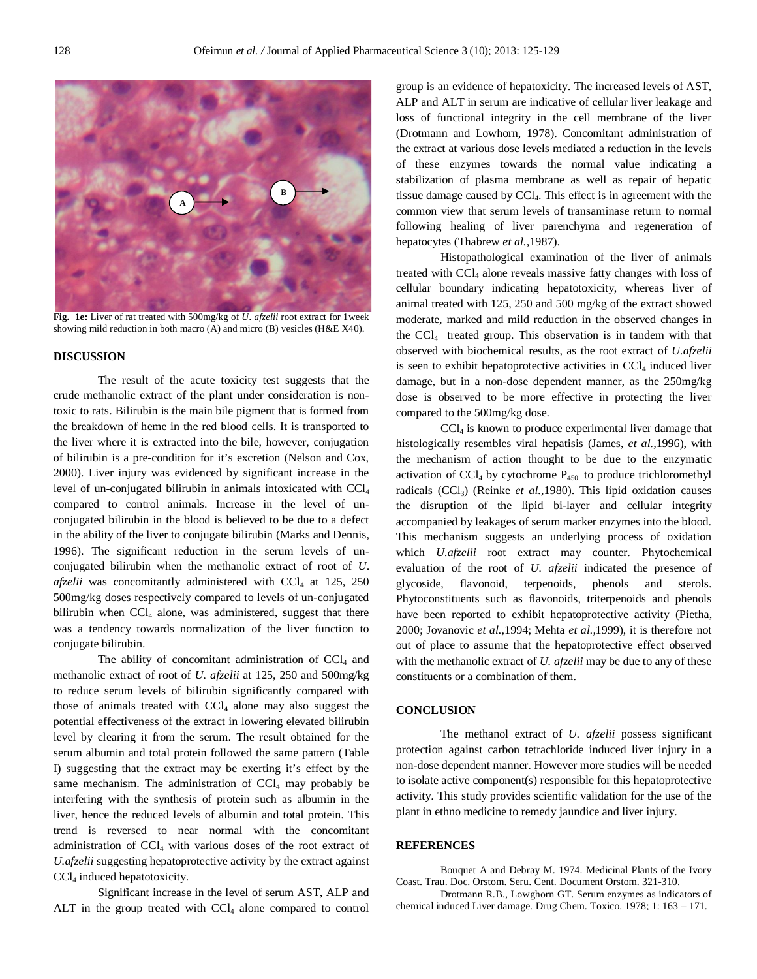

**Fig. 1e:** Liver of rat treated with 500mg/kg of *U. afzelii* root extract for 1week showing mild reduction in both macro (A) and micro (B) vesicles (H&E X40).

#### **DISCUSSION**

The result of the acute toxicity test suggests that the crude methanolic extract of the plant under consideration is nontoxic to rats. Bilirubin is the main bile pigment that is formed from the breakdown of heme in the red blood cells. It is transported to the liver where it is extracted into the bile, however, conjugation of bilirubin is a pre-condition for it's excretion (Nelson and Cox, 2000). Liver injury was evidenced by significant increase in the level of un-conjugated bilirubin in animals intoxicated with CCl<sup>4</sup> compared to control animals. Increase in the level of unconjugated bilirubin in the blood is believed to be due to a defect in the ability of the liver to conjugate bilirubin (Marks and Dennis, 1996). The significant reduction in the serum levels of unconjugated bilirubin when the methanolic extract of root of *U*.  $afzelii$  was concomitantly administered with  $CCl<sub>4</sub>$  at 125, 250 500mg/kg doses respectively compared to levels of un-conjugated bilirubin when CCl<sub>4</sub> alone, was administered, suggest that there was a tendency towards normalization of the liver function to conjugate bilirubin.

The ability of concomitant administration of  $CCl<sub>4</sub>$  and methanolic extract of root of *U. afzelii* at 125, 250 and 500mg/kg to reduce serum levels of bilirubin significantly compared with those of animals treated with CCl<sub>4</sub> alone may also suggest the potential effectiveness of the extract in lowering elevated bilirubin level by clearing it from the serum. The result obtained for the serum albumin and total protein followed the same pattern (Table I) suggesting that the extract may be exerting it's effect by the same mechanism. The administration of  $CCl<sub>4</sub>$  may probably be interfering with the synthesis of protein such as albumin in the liver, hence the reduced levels of albumin and total protein. This trend is reversed to near normal with the concomitant administration of CCL with various doses of the root extract of *U.afzelii* suggesting hepatoprotective activity by the extract against CCl<sup>4</sup> induced hepatotoxicity.

Significant increase in the level of serum AST, ALP and ALT in the group treated with CCl<sub>4</sub> alone compared to control group is an evidence of hepatoxicity. The increased levels of AST, ALP and ALT in serum are indicative of cellular liver leakage and loss of functional integrity in the cell membrane of the liver (Drotmann and Lowhorn, 1978). Concomitant administration of the extract at various dose levels mediated a reduction in the levels of these enzymes towards the normal value indicating a stabilization of plasma membrane as well as repair of hepatic tissue damage caused by CCl4. This effect is in agreement with the common view that serum levels of transaminase return to normal following healing of liver parenchyma and regeneration of hepatocytes (Thabrew *et al.,*1987).

Histopathological examination of the liver of animals treated with CCl<sub>4</sub> alone reveals massive fatty changes with loss of cellular boundary indicating hepatotoxicity, whereas liver of animal treated with 125, 250 and 500 mg/kg of the extract showed moderate, marked and mild reduction in the observed changes in the CCl4 treated group. This observation is in tandem with that observed with biochemical results, as the root extract of *U.afzelii* is seen to exhibit hepatoprotective activities in  $CCl<sub>4</sub>$  induced liver damage, but in a non-dose dependent manner, as the 250mg/kg dose is observed to be more effective in protecting the liver compared to the 500mg/kg dose.

CCl<sup>4</sup> is known to produce experimental liver damage that histologically resembles viral hepatisis (James, *et al.,*1996), with the mechanism of action thought to be due to the enzymatic activation of  $CCl_4$  by cytochrome  $P_{450}$  to produce trichloromethyl radicals (CCl<sub>3</sub>) (Reinke *et al.*, 1980). This lipid oxidation causes the disruption of the lipid bi-layer and cellular integrity accompanied by leakages of serum marker enzymes into the blood. This mechanism suggests an underlying process of oxidation which *U.afzelii* root extract may counter. Phytochemical evaluation of the root of *U. afzelii* indicated the presence of glycoside, flavonoid, terpenoids, phenols and sterols. Phytoconstituents such as flavonoids, triterpenoids and phenols have been reported to exhibit hepatoprotective activity (Pietha, 2000; Jovanovic *et al.,*1994; Mehta *et al.,*1999), it is therefore not out of place to assume that the hepatoprotective effect observed with the methanolic extract of *U. afzelii* may be due to any of these constituents or a combination of them.

#### **CONCLUSION**

The methanol extract of *U. afzelii* possess significant protection against carbon tetrachloride induced liver injury in a non-dose dependent manner. However more studies will be needed to isolate active component(s) responsible for this hepatoprotective activity. This study provides scientific validation for the use of the plant in ethno medicine to remedy jaundice and liver injury.

### **REFERENCES**

Bouquet A and Debray M. 1974. Medicinal Plants of the Ivory Coast. Trau. Doc. Orstom. Seru. Cent. Document Orstom. 321-310.

Drotmann R.B., Lowghorn GT. Serum enzymes as indicators of chemical induced Liver damage. Drug Chem. Toxico. 1978; 1: 163 – 171.